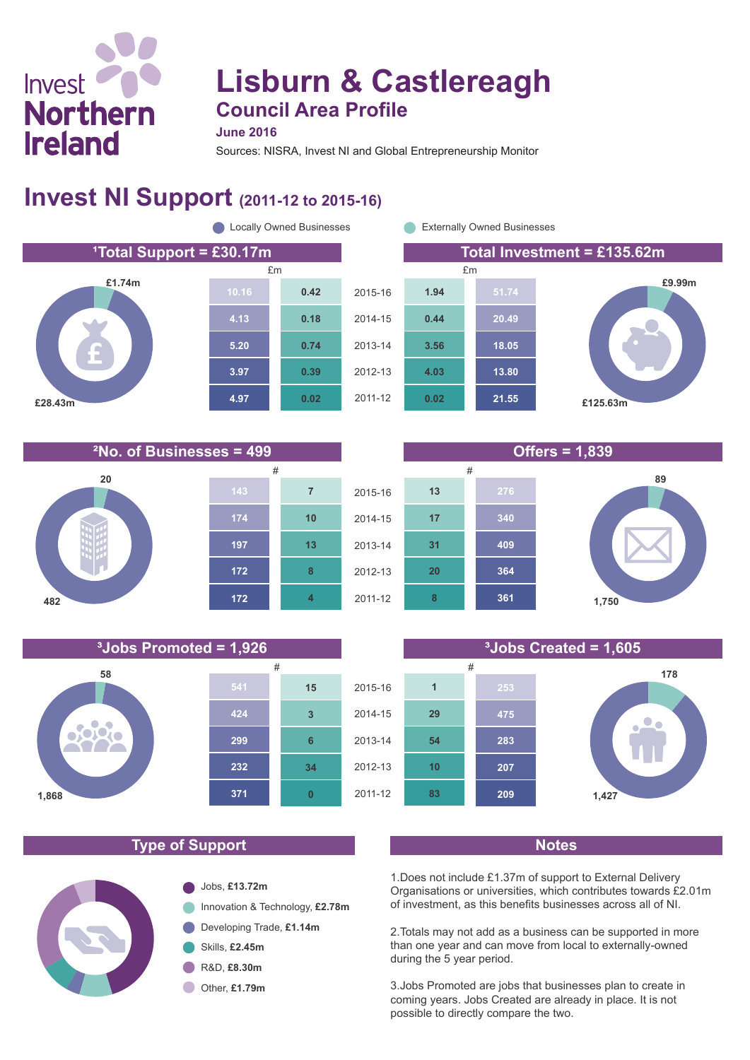# Invest **Northern Ireland**

**482**

## **Lisburn & Castlereagh Council Area Profile**

**June 2016**

Sources: NISRA, Invest NI and Global Entrepreneurship Monitor

#### **Invest NI Support (2011-12 to 2015-16)**



**4**



**172**

#### 2015-16 2014-15 **1,750 178 361 364 8 20 475 253 29 1** 2011-12 # #

**209**

**83**

**10**

**54**

**207**

**283**

**£9.99m**

**89**

#### **Type of Support Notes**



**1,427**

1.Does not include £1.37m of support to External Delivery Organisations or universities, which contributes towards £2.01m of investment, as this benefits businesses across all of NI.

2.Totals may not add as a business can be supported in more than one year and can move from local to externally-owned during the 5 year period.

3.Jobs Promoted are jobs that businesses plan to create in coming years. Jobs Created are already in place. It is not possible to directly compare the two.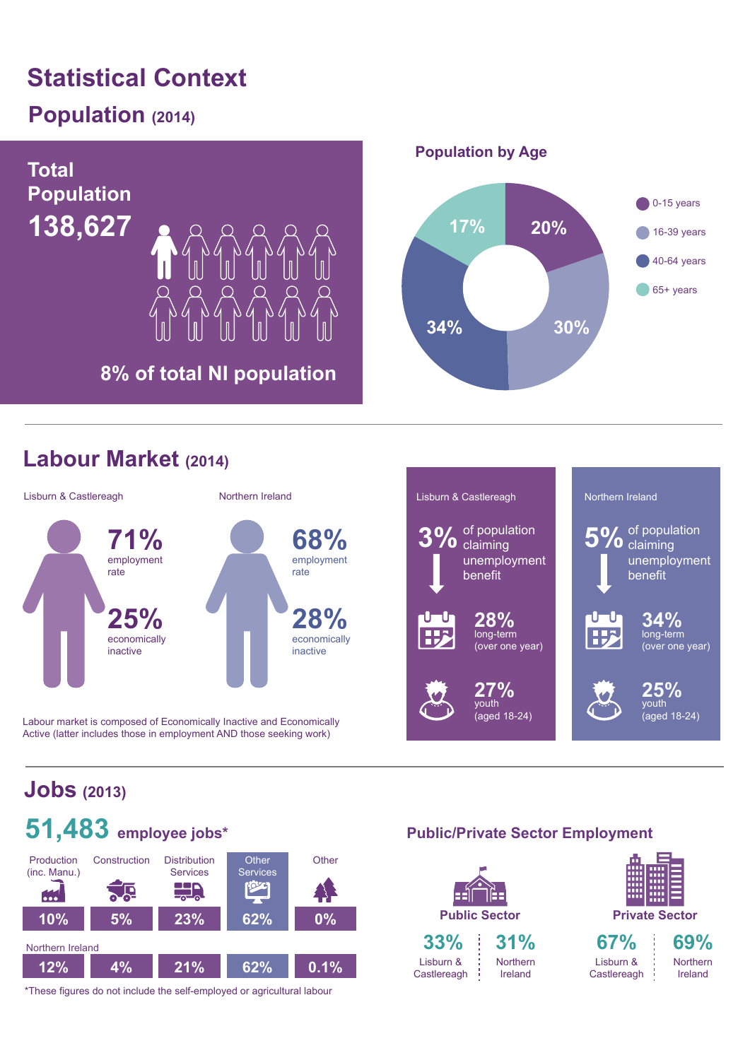## **Statistical Context**

## **Population (2014)**



#### **Labour Market (2014)**



Labour market is composed of Economically Inactive and Economically Active (latter includes those in employment AND those seeking work)



## **Jobs (2013)**



\*These figures do not include the self-employed or agricultural labour

#### **Public/Private Sector Employment**

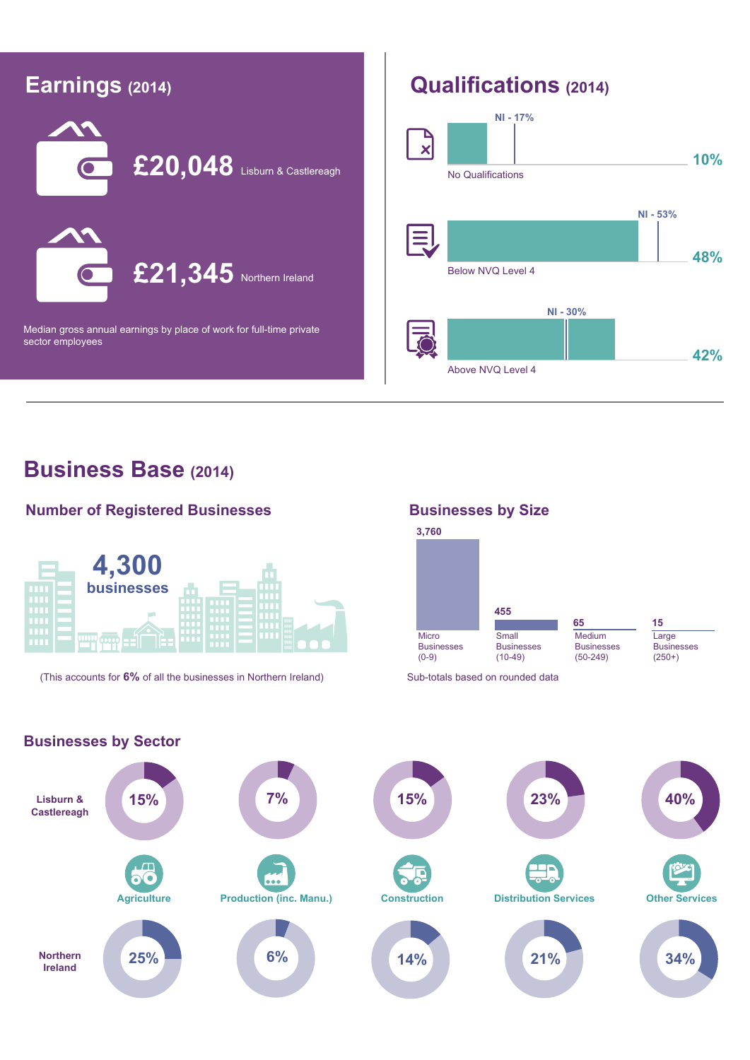

#### **Business Base (2014)**

#### **Number of Registered Businesses**



(This accounts for 6% of all the businesses in Northern Ireland) Sub-totals based on rounded data

#### **Businesses by Size**